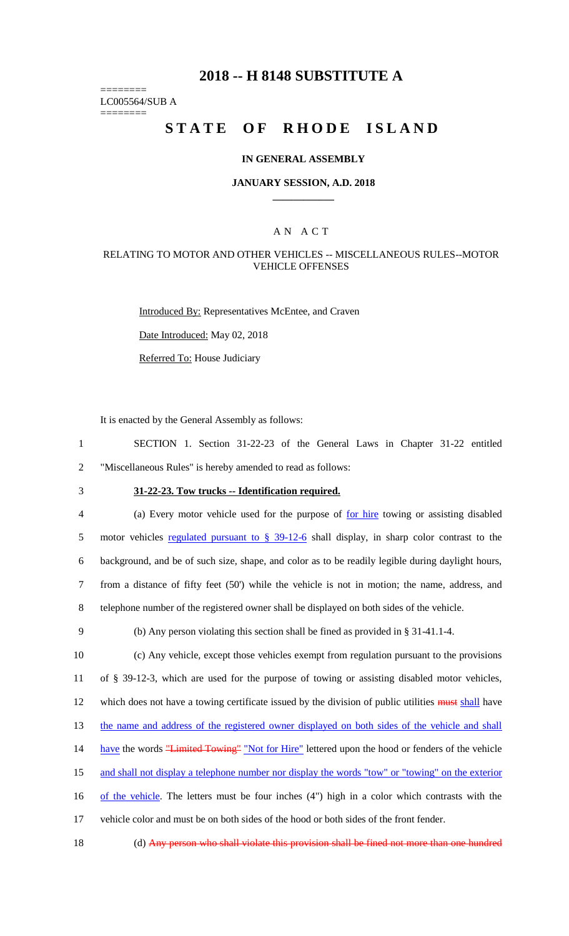# **2018 -- H 8148 SUBSTITUTE A**

======== LC005564/SUB A

========

# STATE OF RHODE ISLAND

#### **IN GENERAL ASSEMBLY**

#### **JANUARY SESSION, A.D. 2018 \_\_\_\_\_\_\_\_\_\_\_\_**

# A N A C T

#### RELATING TO MOTOR AND OTHER VEHICLES -- MISCELLANEOUS RULES--MOTOR VEHICLE OFFENSES

Introduced By: Representatives McEntee, and Craven

Date Introduced: May 02, 2018

Referred To: House Judiciary

It is enacted by the General Assembly as follows:

1 SECTION 1. Section 31-22-23 of the General Laws in Chapter 31-22 entitled 2 "Miscellaneous Rules" is hereby amended to read as follows:

# 3 **31-22-23. Tow trucks -- Identification required.**

 (a) Every motor vehicle used for the purpose of for hire towing or assisting disabled 5 motor vehicles regulated pursuant to § 39-12-6 shall display, in sharp color contrast to the background, and be of such size, shape, and color as to be readily legible during daylight hours, from a distance of fifty feet (50') while the vehicle is not in motion; the name, address, and telephone number of the registered owner shall be displayed on both sides of the vehicle.

9 (b) Any person violating this section shall be fined as provided in § 31-41.1-4.

10 (c) Any vehicle, except those vehicles exempt from regulation pursuant to the provisions 11 of § 39-12-3, which are used for the purpose of towing or assisting disabled motor vehicles, 12 which does not have a towing certificate issued by the division of public utilities must shall have 13 the name and address of the registered owner displayed on both sides of the vehicle and shall 14 have the words "Limited Towing" "Not for Hire" lettered upon the hood or fenders of the vehicle

15 and shall not display a telephone number nor display the words "tow" or "towing" on the exterior

16 of the vehicle. The letters must be four inches (4") high in a color which contrasts with the

17 vehicle color and must be on both sides of the hood or both sides of the front fender.

18 (d) Any person who shall violate this provision shall be fined not more than one hundred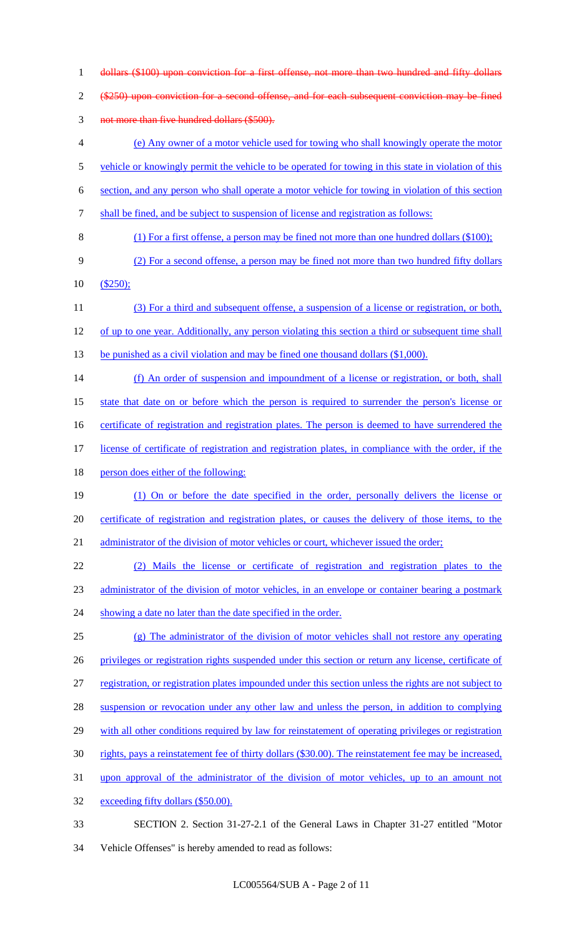dollars (\$100) upon conviction for a first offense, not more than two hundred and fifty dollars 2 (\$250) upon conviction for a second offense, and for each subsequent conviction may be fined not more than five hundred dollars (\$500). (e) Any owner of a motor vehicle used for towing who shall knowingly operate the motor 5 vehicle or knowingly permit the vehicle to be operated for towing in this state in violation of this section, and any person who shall operate a motor vehicle for towing in violation of this section shall be fined, and be subject to suspension of license and registration as follows: (1) For a first offense, a person may be fined not more than one hundred dollars (\$100); (2) For a second offense, a person may be fined not more than two hundred fifty dollars (\$250); (3) For a third and subsequent offense, a suspension of a license or registration, or both, 12 of up to one year. Additionally, any person violating this section a third or subsequent time shall 13 be punished as a civil violation and may be fined one thousand dollars (\$1,000). 14 (f) An order of suspension and impoundment of a license or registration, or both, shall state that date on or before which the person is required to surrender the person's license or 16 certificate of registration and registration plates. The person is deemed to have surrendered the license of certificate of registration and registration plates, in compliance with the order, if the 18 person does either of the following: (1) On or before the date specified in the order, personally delivers the license or certificate of registration and registration plates, or causes the delivery of those items, to the 21 administrator of the division of motor vehicles or court, whichever issued the order; (2) Mails the license or certificate of registration and registration plates to the administrator of the division of motor vehicles, in an envelope or container bearing a postmark 24 showing a date no later than the date specified in the order. (g) The administrator of the division of motor vehicles shall not restore any operating privileges or registration rights suspended under this section or return any license, certificate of registration, or registration plates impounded under this section unless the rights are not subject to 28 suspension or revocation under any other law and unless the person, in addition to complying 29 with all other conditions required by law for reinstatement of operating privileges or registration rights, pays a reinstatement fee of thirty dollars (\$30.00). The reinstatement fee may be increased, upon approval of the administrator of the division of motor vehicles, up to an amount not exceeding fifty dollars (\$50.00). SECTION 2. Section 31-27-2.1 of the General Laws in Chapter 31-27 entitled "Motor

Vehicle Offenses" is hereby amended to read as follows: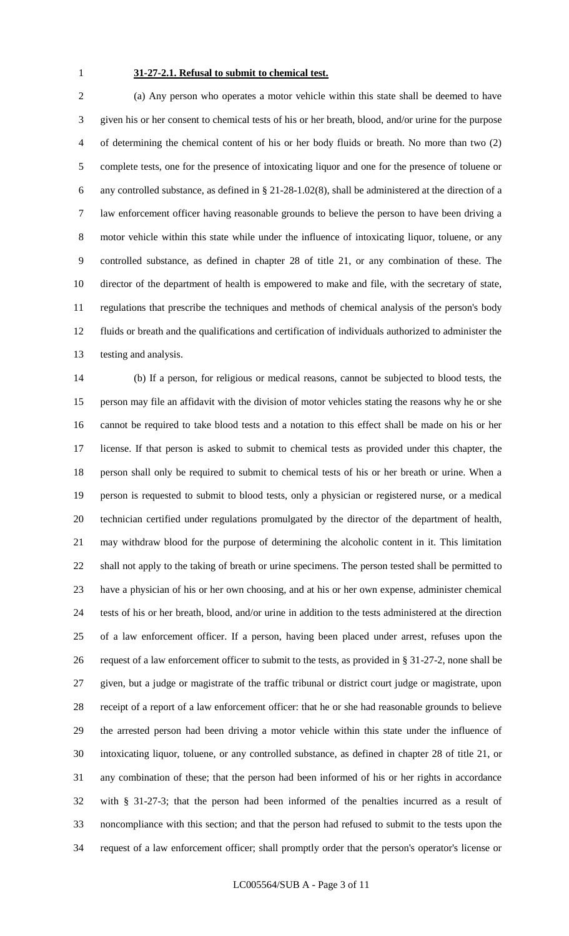# **31-27-2.1. Refusal to submit to chemical test.**

 (a) Any person who operates a motor vehicle within this state shall be deemed to have given his or her consent to chemical tests of his or her breath, blood, and/or urine for the purpose of determining the chemical content of his or her body fluids or breath. No more than two (2) complete tests, one for the presence of intoxicating liquor and one for the presence of toluene or any controlled substance, as defined in § 21-28-1.02(8), shall be administered at the direction of a law enforcement officer having reasonable grounds to believe the person to have been driving a motor vehicle within this state while under the influence of intoxicating liquor, toluene, or any controlled substance, as defined in chapter 28 of title 21, or any combination of these. The director of the department of health is empowered to make and file, with the secretary of state, regulations that prescribe the techniques and methods of chemical analysis of the person's body fluids or breath and the qualifications and certification of individuals authorized to administer the testing and analysis.

 (b) If a person, for religious or medical reasons, cannot be subjected to blood tests, the person may file an affidavit with the division of motor vehicles stating the reasons why he or she cannot be required to take blood tests and a notation to this effect shall be made on his or her license. If that person is asked to submit to chemical tests as provided under this chapter, the person shall only be required to submit to chemical tests of his or her breath or urine. When a person is requested to submit to blood tests, only a physician or registered nurse, or a medical technician certified under regulations promulgated by the director of the department of health, may withdraw blood for the purpose of determining the alcoholic content in it. This limitation shall not apply to the taking of breath or urine specimens. The person tested shall be permitted to have a physician of his or her own choosing, and at his or her own expense, administer chemical tests of his or her breath, blood, and/or urine in addition to the tests administered at the direction of a law enforcement officer. If a person, having been placed under arrest, refuses upon the request of a law enforcement officer to submit to the tests, as provided in § 31-27-2, none shall be given, but a judge or magistrate of the traffic tribunal or district court judge or magistrate, upon receipt of a report of a law enforcement officer: that he or she had reasonable grounds to believe the arrested person had been driving a motor vehicle within this state under the influence of intoxicating liquor, toluene, or any controlled substance, as defined in chapter 28 of title 21, or any combination of these; that the person had been informed of his or her rights in accordance with § 31-27-3; that the person had been informed of the penalties incurred as a result of noncompliance with this section; and that the person had refused to submit to the tests upon the request of a law enforcement officer; shall promptly order that the person's operator's license or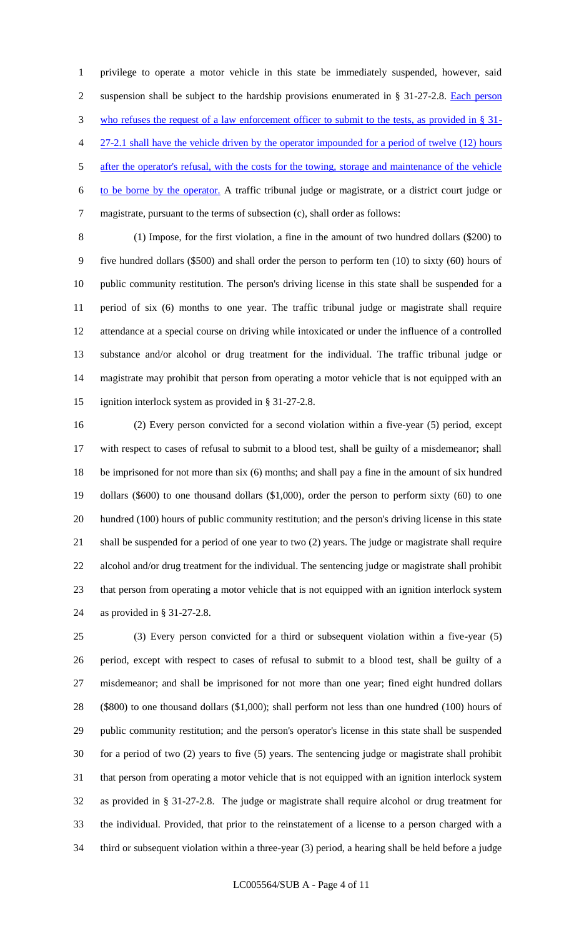privilege to operate a motor vehicle in this state be immediately suspended, however, said 2 suspension shall be subject to the hardship provisions enumerated in § 31-27-2.8. Each person who refuses the request of a law enforcement officer to submit to the tests, as provided in § 31- 4 27-2.1 shall have the vehicle driven by the operator impounded for a period of twelve (12) hours 5 after the operator's refusal, with the costs for the towing, storage and maintenance of the vehicle to be borne by the operator. A traffic tribunal judge or magistrate, or a district court judge or magistrate, pursuant to the terms of subsection (c), shall order as follows:

 (1) Impose, for the first violation, a fine in the amount of two hundred dollars (\$200) to five hundred dollars (\$500) and shall order the person to perform ten (10) to sixty (60) hours of public community restitution. The person's driving license in this state shall be suspended for a period of six (6) months to one year. The traffic tribunal judge or magistrate shall require attendance at a special course on driving while intoxicated or under the influence of a controlled substance and/or alcohol or drug treatment for the individual. The traffic tribunal judge or magistrate may prohibit that person from operating a motor vehicle that is not equipped with an ignition interlock system as provided in § 31-27-2.8.

 (2) Every person convicted for a second violation within a five-year (5) period, except with respect to cases of refusal to submit to a blood test, shall be guilty of a misdemeanor; shall be imprisoned for not more than six (6) months; and shall pay a fine in the amount of six hundred dollars (\$600) to one thousand dollars (\$1,000), order the person to perform sixty (60) to one hundred (100) hours of public community restitution; and the person's driving license in this state shall be suspended for a period of one year to two (2) years. The judge or magistrate shall require alcohol and/or drug treatment for the individual. The sentencing judge or magistrate shall prohibit that person from operating a motor vehicle that is not equipped with an ignition interlock system as provided in § 31-27-2.8.

 (3) Every person convicted for a third or subsequent violation within a five-year (5) period, except with respect to cases of refusal to submit to a blood test, shall be guilty of a misdemeanor; and shall be imprisoned for not more than one year; fined eight hundred dollars (\$800) to one thousand dollars (\$1,000); shall perform not less than one hundred (100) hours of public community restitution; and the person's operator's license in this state shall be suspended for a period of two (2) years to five (5) years. The sentencing judge or magistrate shall prohibit that person from operating a motor vehicle that is not equipped with an ignition interlock system as provided in § 31-27-2.8. The judge or magistrate shall require alcohol or drug treatment for the individual. Provided, that prior to the reinstatement of a license to a person charged with a third or subsequent violation within a three-year (3) period, a hearing shall be held before a judge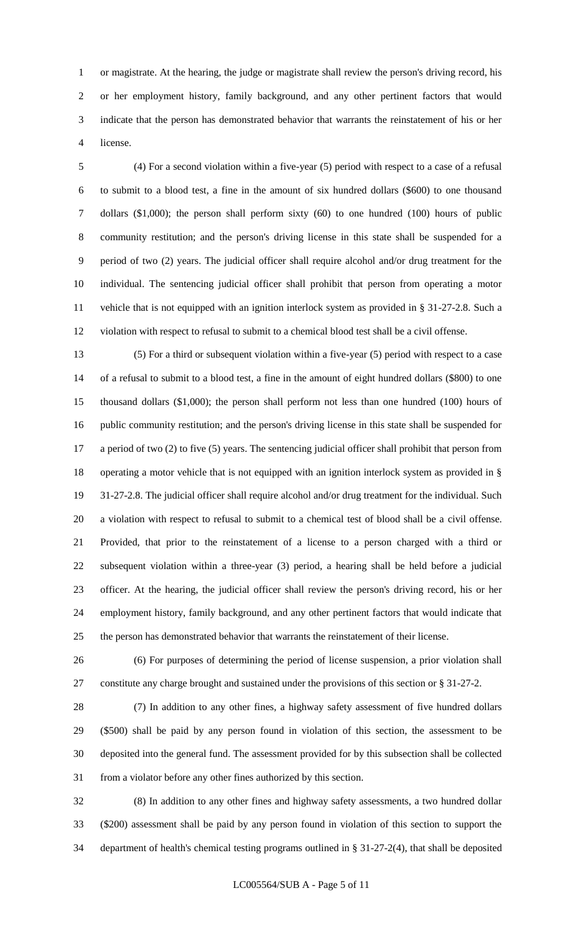or magistrate. At the hearing, the judge or magistrate shall review the person's driving record, his or her employment history, family background, and any other pertinent factors that would indicate that the person has demonstrated behavior that warrants the reinstatement of his or her license.

 (4) For a second violation within a five-year (5) period with respect to a case of a refusal to submit to a blood test, a fine in the amount of six hundred dollars (\$600) to one thousand dollars (\$1,000); the person shall perform sixty (60) to one hundred (100) hours of public community restitution; and the person's driving license in this state shall be suspended for a period of two (2) years. The judicial officer shall require alcohol and/or drug treatment for the individual. The sentencing judicial officer shall prohibit that person from operating a motor vehicle that is not equipped with an ignition interlock system as provided in § 31-27-2.8. Such a violation with respect to refusal to submit to a chemical blood test shall be a civil offense.

 (5) For a third or subsequent violation within a five-year (5) period with respect to a case of a refusal to submit to a blood test, a fine in the amount of eight hundred dollars (\$800) to one thousand dollars (\$1,000); the person shall perform not less than one hundred (100) hours of public community restitution; and the person's driving license in this state shall be suspended for a period of two (2) to five (5) years. The sentencing judicial officer shall prohibit that person from operating a motor vehicle that is not equipped with an ignition interlock system as provided in § 31-27-2.8. The judicial officer shall require alcohol and/or drug treatment for the individual. Such a violation with respect to refusal to submit to a chemical test of blood shall be a civil offense. Provided, that prior to the reinstatement of a license to a person charged with a third or subsequent violation within a three-year (3) period, a hearing shall be held before a judicial officer. At the hearing, the judicial officer shall review the person's driving record, his or her employment history, family background, and any other pertinent factors that would indicate that the person has demonstrated behavior that warrants the reinstatement of their license.

 (6) For purposes of determining the period of license suspension, a prior violation shall constitute any charge brought and sustained under the provisions of this section or § 31-27-2.

 (7) In addition to any other fines, a highway safety assessment of five hundred dollars (\$500) shall be paid by any person found in violation of this section, the assessment to be deposited into the general fund. The assessment provided for by this subsection shall be collected from a violator before any other fines authorized by this section.

 (8) In addition to any other fines and highway safety assessments, a two hundred dollar (\$200) assessment shall be paid by any person found in violation of this section to support the department of health's chemical testing programs outlined in § 31-27-2(4), that shall be deposited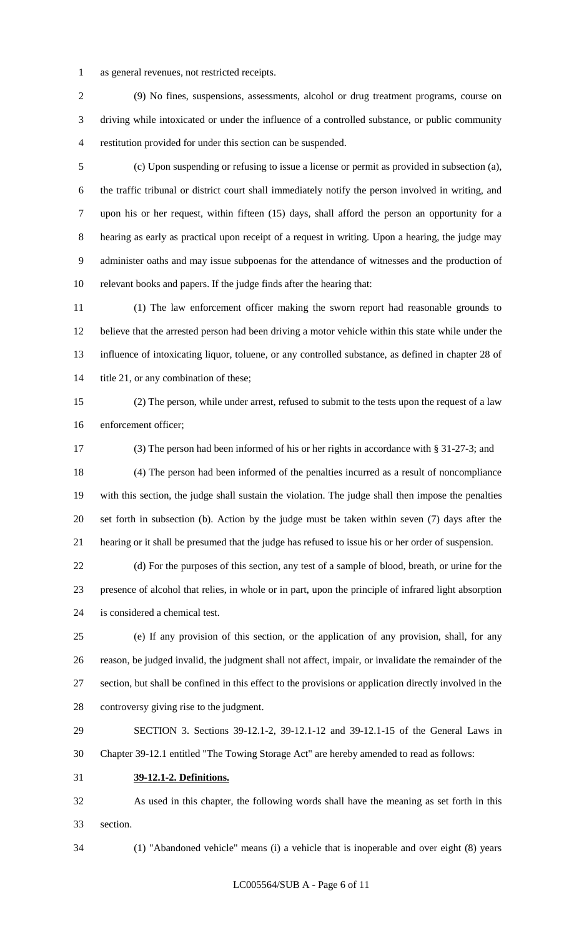as general revenues, not restricted receipts.

 (9) No fines, suspensions, assessments, alcohol or drug treatment programs, course on driving while intoxicated or under the influence of a controlled substance, or public community restitution provided for under this section can be suspended.

 (c) Upon suspending or refusing to issue a license or permit as provided in subsection (a), the traffic tribunal or district court shall immediately notify the person involved in writing, and upon his or her request, within fifteen (15) days, shall afford the person an opportunity for a hearing as early as practical upon receipt of a request in writing. Upon a hearing, the judge may administer oaths and may issue subpoenas for the attendance of witnesses and the production of relevant books and papers. If the judge finds after the hearing that:

 (1) The law enforcement officer making the sworn report had reasonable grounds to believe that the arrested person had been driving a motor vehicle within this state while under the influence of intoxicating liquor, toluene, or any controlled substance, as defined in chapter 28 of 14 title 21, or any combination of these;

 (2) The person, while under arrest, refused to submit to the tests upon the request of a law enforcement officer;

 (3) The person had been informed of his or her rights in accordance with § 31-27-3; and (4) The person had been informed of the penalties incurred as a result of noncompliance with this section, the judge shall sustain the violation. The judge shall then impose the penalties set forth in subsection (b). Action by the judge must be taken within seven (7) days after the hearing or it shall be presumed that the judge has refused to issue his or her order of suspension.

 (d) For the purposes of this section, any test of a sample of blood, breath, or urine for the presence of alcohol that relies, in whole or in part, upon the principle of infrared light absorption is considered a chemical test.

 (e) If any provision of this section, or the application of any provision, shall, for any reason, be judged invalid, the judgment shall not affect, impair, or invalidate the remainder of the section, but shall be confined in this effect to the provisions or application directly involved in the controversy giving rise to the judgment.

 SECTION 3. Sections 39-12.1-2, 39-12.1-12 and 39-12.1-15 of the General Laws in Chapter 39-12.1 entitled "The Towing Storage Act" are hereby amended to read as follows:

**39-12.1-2. Definitions.**

 As used in this chapter, the following words shall have the meaning as set forth in this section.

(1) "Abandoned vehicle" means (i) a vehicle that is inoperable and over eight (8) years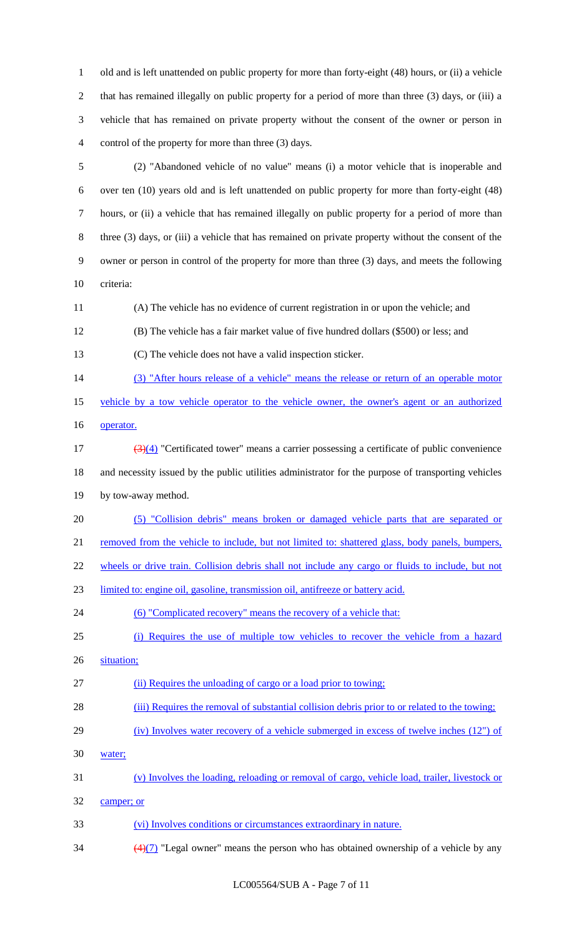old and is left unattended on public property for more than forty-eight (48) hours, or (ii) a vehicle that has remained illegally on public property for a period of more than three (3) days, or (iii) a vehicle that has remained on private property without the consent of the owner or person in control of the property for more than three (3) days.

 (2) "Abandoned vehicle of no value" means (i) a motor vehicle that is inoperable and over ten (10) years old and is left unattended on public property for more than forty-eight (48) hours, or (ii) a vehicle that has remained illegally on public property for a period of more than three (3) days, or (iii) a vehicle that has remained on private property without the consent of the owner or person in control of the property for more than three (3) days, and meets the following criteria:

(A) The vehicle has no evidence of current registration in or upon the vehicle; and

(B) The vehicle has a fair market value of five hundred dollars (\$500) or less; and

(C) The vehicle does not have a valid inspection sticker.

(3) "After hours release of a vehicle" means the release or return of an operable motor

vehicle by a tow vehicle operator to the vehicle owner, the owner's agent or an authorized

16 operator.

 $\left(\frac{3}{4}\right)$  "Certificated tower" means a carrier possessing a certificate of public convenience and necessity issued by the public utilities administrator for the purpose of transporting vehicles by tow-away method.

(5) "Collision debris" means broken or damaged vehicle parts that are separated or

21 removed from the vehicle to include, but not limited to: shattered glass, body panels, bumpers,

wheels or drive train. Collision debris shall not include any cargo or fluids to include, but not

limited to: engine oil, gasoline, transmission oil, antifreeze or battery acid.

(6) "Complicated recovery" means the recovery of a vehicle that:

# (i) Requires the use of multiple tow vehicles to recover the vehicle from a hazard

- 26 situation;
- (ii) Requires the unloading of cargo or a load prior to towing;
- (iii) Requires the removal of substantial collision debris prior to or related to the towing;
- (iv) Involves water recovery of a vehicle submerged in excess of twelve inches (12") of
- water;
- (v) Involves the loading, reloading or removal of cargo, vehicle load, trailer, livestock or
- camper; or
- (vi) Involves conditions or circumstances extraordinary in nature.
- $\frac{(4)(7)}{2}$  "Legal owner" means the person who has obtained ownership of a vehicle by any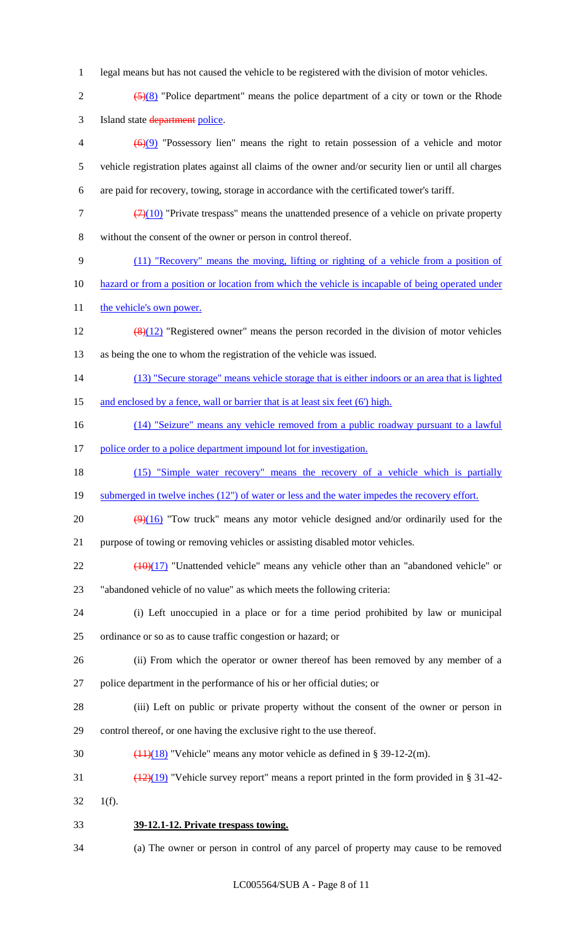- 1 legal means but has not caused the vehicle to be registered with the division of motor vehicles.
- 2  $\left(5\right)(8)$  "Police department" means the police department of a city or town or the Rhode 3 Island state department police.
- $\left(6\right)(9)$  "Possessory lien" means the right to retain possession of a vehicle and motor 5 vehicle registration plates against all claims of the owner and/or security lien or until all charges 6 are paid for recovery, towing, storage in accordance with the certificated tower's tariff.
- $7 \left( \frac{7}{10} \right)$  "Private trespass" means the unattended presence of a vehicle on private property 8 without the consent of the owner or person in control thereof.
- 9 (11) "Recovery" means the moving, lifting or righting of a vehicle from a position of
- 10 hazard or from a position or location from which the vehicle is incapable of being operated under
- 11 the vehicle's own power.
- 12  $\left(\frac{8}{12}\right)$  "Registered owner" means the person recorded in the division of motor vehicles 13 as being the one to whom the registration of the vehicle was issued.
- 14 (13) "Secure storage" means vehicle storage that is either indoors or an area that is lighted 15 and enclosed by a fence, wall or barrier that is at least six feet (6') high.
- 16 (14) "Seizure" means any vehicle removed from a public roadway pursuant to a lawful
- 
- 17 police order to a police department impound lot for investigation.
- 18 (15) "Simple water recovery" means the recovery of a vehicle which is partially
- 19 submerged in twelve inches (12") of water or less and the water impedes the recovery effort.
- 20  $\left(\frac{9}{16}\right)$  "Tow truck" means any motor vehicle designed and/or ordinarily used for the 21 purpose of towing or removing vehicles or assisting disabled motor vehicles.
- $22$  ( $\frac{(10)(17)}{10}$  "Unattended vehicle" means any vehicle other than an "abandoned vehicle" or 23 "abandoned vehicle of no value" as which meets the following criteria:
- 24 (i) Left unoccupied in a place or for a time period prohibited by law or municipal 25 ordinance or so as to cause traffic congestion or hazard; or
- 26 (ii) From which the operator or owner thereof has been removed by any member of a 27 police department in the performance of his or her official duties; or
- 28 (iii) Left on public or private property without the consent of the owner or person in 29 control thereof, or one having the exclusive right to the use thereof.
- 30  $\left(\frac{(11)(18)}{2}\right)$  "Vehicle" means any motor vehicle as defined in § 39-12-2(m).
- 31  $\left(\frac{(12)(19)}{2}\right)$  "Vehicle survey report" means a report printed in the form provided in § 31-42-
- 32 1(f).
- 33 **39-12.1-12. Private trespass towing.**
- 34 (a) The owner or person in control of any parcel of property may cause to be removed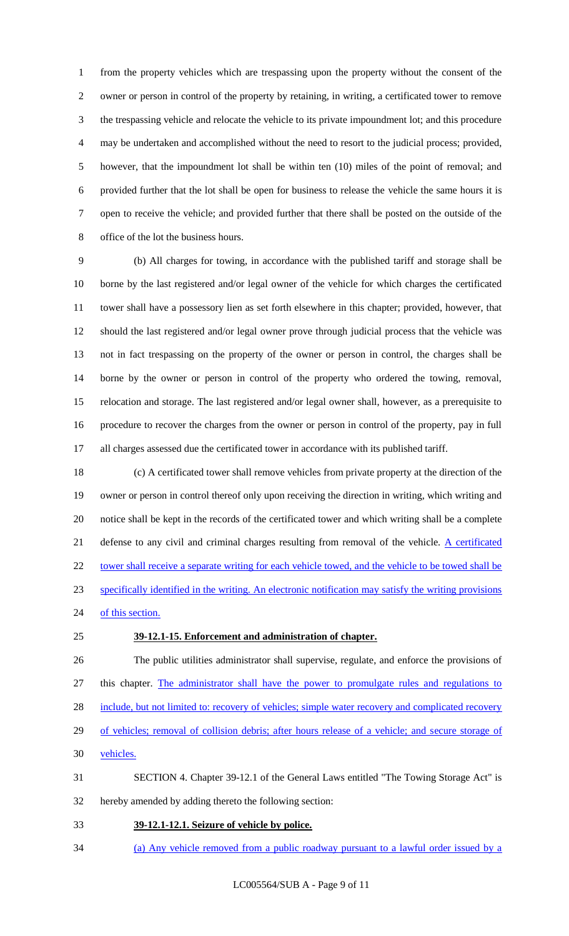from the property vehicles which are trespassing upon the property without the consent of the owner or person in control of the property by retaining, in writing, a certificated tower to remove the trespassing vehicle and relocate the vehicle to its private impoundment lot; and this procedure may be undertaken and accomplished without the need to resort to the judicial process; provided, however, that the impoundment lot shall be within ten (10) miles of the point of removal; and provided further that the lot shall be open for business to release the vehicle the same hours it is open to receive the vehicle; and provided further that there shall be posted on the outside of the office of the lot the business hours.

 (b) All charges for towing, in accordance with the published tariff and storage shall be borne by the last registered and/or legal owner of the vehicle for which charges the certificated tower shall have a possessory lien as set forth elsewhere in this chapter; provided, however, that should the last registered and/or legal owner prove through judicial process that the vehicle was not in fact trespassing on the property of the owner or person in control, the charges shall be borne by the owner or person in control of the property who ordered the towing, removal, relocation and storage. The last registered and/or legal owner shall, however, as a prerequisite to procedure to recover the charges from the owner or person in control of the property, pay in full all charges assessed due the certificated tower in accordance with its published tariff.

 (c) A certificated tower shall remove vehicles from private property at the direction of the owner or person in control thereof only upon receiving the direction in writing, which writing and notice shall be kept in the records of the certificated tower and which writing shall be a complete 21 defense to any civil and criminal charges resulting from removal of the vehicle. A certificated 22 tower shall receive a separate writing for each vehicle towed, and the vehicle to be towed shall be specifically identified in the writing. An electronic notification may satisfy the writing provisions 24 of this section.

#### **39-12.1-15. Enforcement and administration of chapter.**

 The public utilities administrator shall supervise, regulate, and enforce the provisions of this chapter. The administrator shall have the power to promulgate rules and regulations to 28 include, but not limited to: recovery of vehicles; simple water recovery and complicated recovery of vehicles; removal of collision debris; after hours release of a vehicle; and secure storage of vehicles.

 SECTION 4. Chapter 39-12.1 of the General Laws entitled "The Towing Storage Act" is hereby amended by adding thereto the following section:

- **39-12.1-12.1. Seizure of vehicle by police.**
- (a) Any vehicle removed from a public roadway pursuant to a lawful order issued by a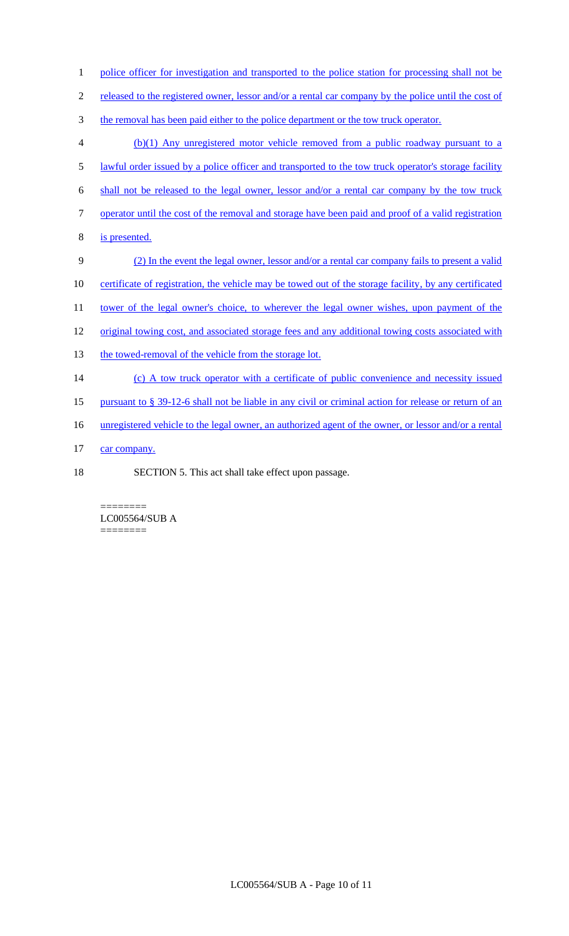- 1 police officer for investigation and transported to the police station for processing shall not be
- 2 released to the registered owner, lessor and/or a rental car company by the police until the cost of
- 3 the removal has been paid either to the police department or the tow truck operator.
- 4 (b)(1) Any unregistered motor vehicle removed from a public roadway pursuant to a 5 lawful order issued by a police officer and transported to the tow truck operator's storage facility 6 shall not be released to the legal owner, lessor and/or a rental car company by the tow truck 7 operator until the cost of the removal and storage have been paid and proof of a valid registration 8 is presented. 9 (2) In the event the legal owner, lessor and/or a rental car company fails to present a valid 10 certificate of registration, the vehicle may be towed out of the storage facility, by any certificated 11 tower of the legal owner's choice, to wherever the legal owner wishes, upon payment of the 12 original towing cost, and associated storage fees and any additional towing costs associated with 13 the towed-removal of the vehicle from the storage lot. 14 (c) A tow truck operator with a certificate of public convenience and necessity issued 15 pursuant to § 39-12-6 shall not be liable in any civil or criminal action for release or return of an 16 unregistered vehicle to the legal owner, an authorized agent of the owner, or lessor and/or a rental 17 car company.
- 
- 18 SECTION 5. This act shall take effect upon passage.

======== LC005564/SUB A ========